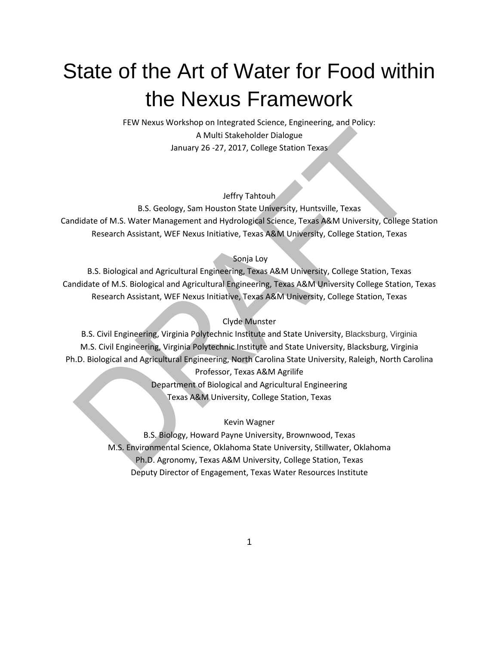# State of the Art of Water for Food within the Nexus Framework

FEW Nexus Workshop on Integrated Science, Engineering, and Policy: A Multi Stakeholder Dialogue January 26 -27, 2017, College Station Texas

#### Jeffry Tahtouh

B.S. Geology, Sam Houston State University, Huntsville, Texas Candidate of M.S. Water Management and Hydrological Science, Texas A&M University, College Station Research Assistant, WEF Nexus Initiative, Texas A&M University, College Station, Texas

#### Sonja Loy

B.S. Biological and Agricultural Engineering, Texas A&M University, College Station, Texas Candidate of M.S. Biological and Agricultural Engineering, Texas A&M University College Station, Texas Research Assistant, WEF Nexus Initiative, Texas A&M University, College Station, Texas

#### Clyde Munster

B.S. Civil Engineering, Virginia Polytechnic Institute and State University, Blacksburg, Virginia M.S. Civil Engineering, Virginia Polytechnic Institute and State University, Blacksburg, Virginia Ph.D. Biological and Agricultural Engineering, North Carolina State University, Raleigh, North Carolina

Professor, Texas A&M Agrilife Department of Biological and Agricultural Engineering Texas A&M University, College Station, Texas

#### Kevin Wagner

B.S. Biology, Howard Payne University, Brownwood, Texas M.S. Environmental Science, Oklahoma State University, Stillwater, Oklahoma Ph.D. Agronomy, Texas A&M University, College Station, Texas Deputy Director of Engagement, Texas Water Resources Institute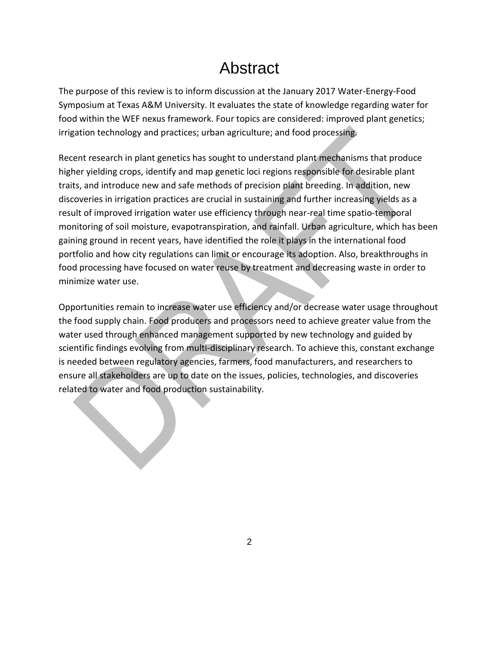# Abstract

The purpose of this review is to inform discussion at the January 2017 Water-Energy-Food Symposium at Texas A&M University. It evaluates the state of knowledge regarding water for food within the WEF nexus framework. Four topics are considered: improved plant genetics; irrigation technology and practices; urban agriculture; and food processing.

Recent research in plant genetics has sought to understand plant mechanisms that produce higher yielding crops, identify and map genetic loci regions responsible for desirable plant traits, and introduce new and safe methods of precision plant breeding. In addition, new discoveries in irrigation practices are crucial in sustaining and further increasing yields as a result of improved irrigation water use efficiency through near-real time spatio-temporal monitoring of soil moisture, evapotranspiration, and rainfall. Urban agriculture, which has been gaining ground in recent years, have identified the role it plays in the international food portfolio and how city regulations can limit or encourage its adoption. Also, breakthroughs in food processing have focused on water reuse by treatment and decreasing waste in order to minimize water use.

Opportunities remain to increase water use efficiency and/or decrease water usage throughout the food supply chain. Food producers and processors need to achieve greater value from the water used through enhanced management supported by new technology and guided by scientific findings evolving from multi-disciplinary research. To achieve this, constant exchange is needed between regulatory agencies, farmers, food manufacturers, and researchers to ensure all stakeholders are up to date on the issues, policies, technologies, and discoveries related to water and food production sustainability.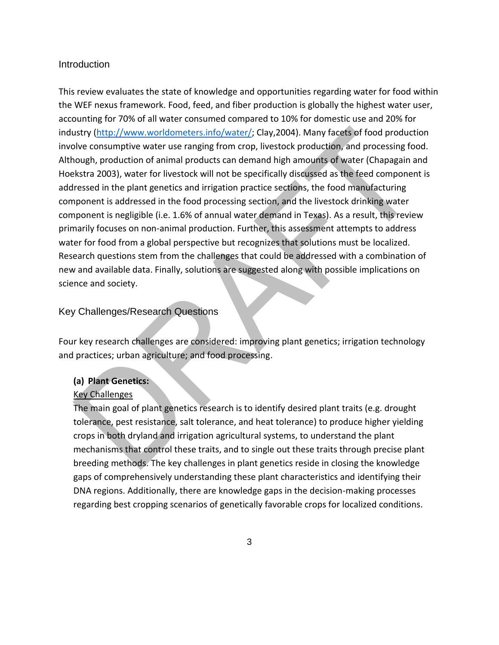#### **Introduction**

This review evaluates the state of knowledge and opportunities regarding water for food within the WEF nexus framework. Food, feed, and fiber production is globally the highest water user, accounting for 70% of all water consumed compared to 10% for domestic use and 20% for industry [\(http://www.worldometers.info/water/;](http://www.worldometers.info/water/) Clay,2004). Many facets of food production involve consumptive water use ranging from crop, livestock production, and processing food. Although, production of animal products can demand high amounts of water (Chapagain and Hoekstra 2003), water for livestock will not be specifically discussed as the feed component is addressed in the plant genetics and irrigation practice sections, the food manufacturing component is addressed in the food processing section, and the livestock drinking water component is negligible (i.e. 1.6% of annual water demand in Texas). As a result, this review primarily focuses on non-animal production. Further, this assessment attempts to address water for food from a global perspective but recognizes that solutions must be localized. Research questions stem from the challenges that could be addressed with a combination of new and available data. Finally, solutions are suggested along with possible implications on science and society.

# Key Challenges/Research Questions

Four key research challenges are considered: improving plant genetics; irrigation technology and practices; urban agriculture; and food processing.

#### **(a) Plant Genetics:**

#### Key Challenges

The main goal of plant genetics research is to identify desired plant traits (e.g. drought tolerance, pest resistance, salt tolerance, and heat tolerance) to produce higher yielding crops in both dryland and irrigation agricultural systems, to understand the plant mechanisms that control these traits, and to single out these traits through precise plant breeding methods. The key challenges in plant genetics reside in closing the knowledge gaps of comprehensively understanding these plant characteristics and identifying their DNA regions. Additionally, there are knowledge gaps in the decision-making processes regarding best cropping scenarios of genetically favorable crops for localized conditions.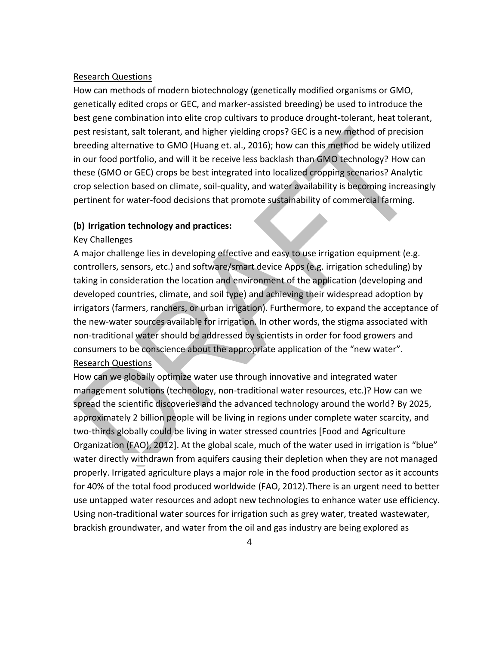#### Research Questions

How can methods of modern biotechnology (genetically modified organisms or GMO, genetically edited crops or GEC, and marker-assisted breeding) be used to introduce the best gene combination into elite crop cultivars to produce drought-tolerant, heat tolerant, pest resistant, salt tolerant, and higher yielding crops? GEC is a new method of precision breeding alternative to GMO (Huang et. al., 2016); how can this method be widely utilized in our food portfolio, and will it be receive less backlash than GMO technology? How can these (GMO or GEC) crops be best integrated into localized cropping scenarios? Analytic crop selection based on climate, soil-quality, and water availability is becoming increasingly pertinent for water-food decisions that promote sustainability of commercial farming.

#### **(b) Irrigation technology and practices:**

#### Key Challenges

A major challenge lies in developing effective and easy to use irrigation equipment (e.g. controllers, sensors, etc.) and software/smart device Apps (e.g. irrigation scheduling) by taking in consideration the location and environment of the application (developing and developed countries, climate, and soil type) and achieving their widespread adoption by irrigators (farmers, ranchers, or urban irrigation). Furthermore, to expand the acceptance of the new-water sources available for irrigation. In other words, the stigma associated with non-traditional water should be addressed by scientists in order for food growers and consumers to be conscience about the appropriate application of the "new water". Research Questions

How can we globally optimize water use through innovative and integrated water management solutions (technology, non-traditional water resources, etc.)? How can we spread the scientific discoveries and the advanced technology around the world? By 2025, approximately 2 billion people will be living in regions under complete water scarcity, and two-thirds globally could be living in water stressed countries [Food and Agriculture Organization (FAO), 2012]. At the global scale, much of the water used in irrigation is "blue" water directly withdrawn from aquifers causing their depletion when they are not managed properly. Irrigated agriculture plays a major role in the food production sector as it accounts for 40% of the total food produced worldwide (FAO, 2012).There is an urgent need to better use untapped water resources and adopt new technologies to enhance water use efficiency. Using non-traditional water sources for irrigation such as grey water, treated wastewater, brackish groundwater, and water from the oil and gas industry are being explored as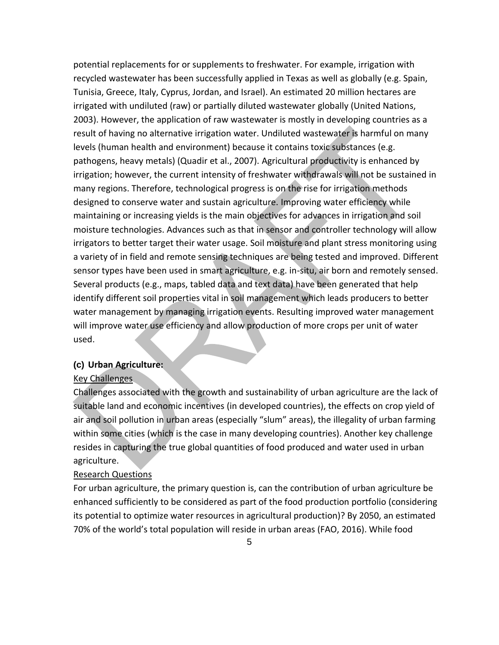potential replacements for or supplements to freshwater. For example, irrigation with recycled wastewater has been successfully applied in Texas as well as globally (e.g. Spain, Tunisia, Greece, Italy, Cyprus, Jordan, and Israel). An estimated 20 million hectares are irrigated with undiluted (raw) or partially diluted wastewater globally (United Nations, 2003). However, the application of raw wastewater is mostly in developing countries as a result of having no alternative irrigation water. Undiluted wastewater is harmful on many levels (human health and environment) because it contains toxic substances (e.g. pathogens, heavy metals) (Quadir et al., 2007). Agricultural productivity is enhanced by irrigation; however, the current intensity of freshwater withdrawals will not be sustained in many regions. Therefore, technological progress is on the rise for irrigation methods designed to conserve water and sustain agriculture. Improving water efficiency while maintaining or increasing yields is the main objectives for advances in irrigation and soil moisture technologies. Advances such as that in sensor and controller technology will allow irrigators to better target their water usage. Soil moisture and plant stress monitoring using a variety of in field and remote sensing techniques are being tested and improved. Different sensor types have been used in smart agriculture, e.g. in-situ, air born and remotely sensed. Several products (e.g., maps, tabled data and text data) have been generated that help identify different soil properties vital in soil management which leads producers to better water management by managing irrigation events. Resulting improved water management will improve water use efficiency and allow production of more crops per unit of water used.

## **(c) Urban Agriculture:**

#### Key Challenges

Challenges associated with the growth and sustainability of urban agriculture are the lack of suitable land and economic incentives (in developed countries), the effects on crop yield of air and soil pollution in urban areas (especially "slum" areas), the illegality of urban farming within some cities (which is the case in many developing countries). Another key challenge resides in capturing the true global quantities of food produced and water used in urban agriculture.

#### Research Questions

For urban agriculture, the primary question is, can the contribution of urban agriculture be enhanced sufficiently to be considered as part of the food production portfolio (considering its potential to optimize water resources in agricultural production)? By 2050, an estimated 70% of the world's total population will reside in urban areas (FAO, 2016). While food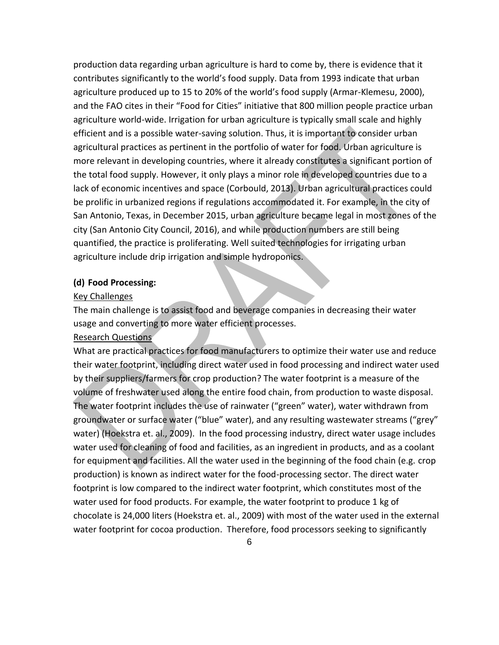production data regarding urban agriculture is hard to come by, there is evidence that it contributes significantly to the world's food supply. Data from 1993 indicate that urban agriculture produced up to 15 to 20% of the world's food supply (Armar-Klemesu, 2000), and the FAO cites in their "Food for Cities" initiative that 800 million people practice urban agriculture world-wide. Irrigation for urban agriculture is typically small scale and highly efficient and is a possible water-saving solution. Thus, it is important to consider urban agricultural practices as pertinent in the portfolio of water for food. Urban agriculture is more relevant in developing countries, where it already constitutes a significant portion of the total food supply. However, it only plays a minor role in developed countries due to a lack of economic incentives and space (Corbould, 2013). Urban agricultural practices could be prolific in urbanized regions if regulations accommodated it. For example, in the city of San Antonio, Texas, in December 2015, urban agriculture became legal in most zones of the city (San Antonio City Council, 2016), and while production numbers are still being quantified, the practice is proliferating. Well suited technologies for irrigating urban agriculture include drip irrigation and simple hydroponics.

#### **(d) Food Processing:**

#### Key Challenges

The main challenge is to assist food and beverage companies in decreasing their water usage and converting to more water efficient processes.

#### Research Questions

What are practical practices for food manufacturers to optimize their water use and reduce their water footprint, including direct water used in food processing and indirect water used by their suppliers/farmers for crop production? The water footprint is a measure of the volume of freshwater used along the entire food chain, from production to waste disposal. The water footprint includes the use of rainwater ("green" water), water withdrawn from groundwater or surface water ("blue" water), and any resulting wastewater streams ("grey" water) (Hoekstra et. al., 2009). In the food processing industry, direct water usage includes water used for cleaning of food and facilities, as an ingredient in products, and as a coolant for equipment and facilities. All the water used in the beginning of the food chain (e.g. crop production) is known as indirect water for the food-processing sector. The direct water footprint is low compared to the indirect water footprint, which constitutes most of the water used for food products. For example, the water footprint to produce 1 kg of chocolate is 24,000 liters (Hoekstra et. al., 2009) with most of the water used in the external water footprint for cocoa production. Therefore, food processors seeking to significantly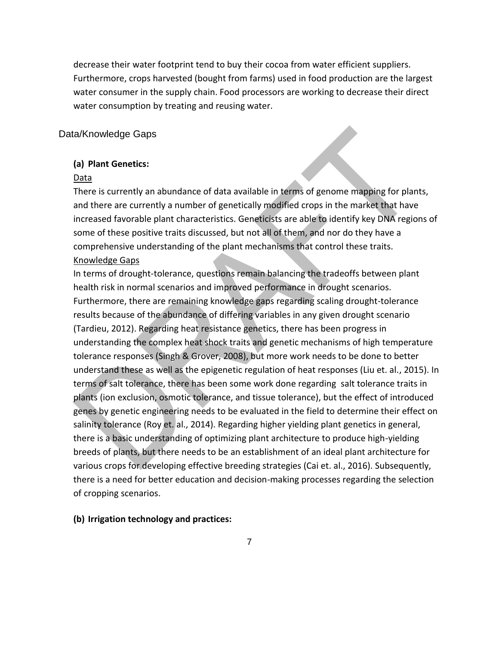decrease their water footprint tend to buy their cocoa from water efficient suppliers. Furthermore, crops harvested (bought from farms) used in food production are the largest water consumer in the supply chain. Food processors are working to decrease their direct water consumption by treating and reusing water.

### Data/Knowledge Gaps

#### **(a) Plant Genetics:**

#### Data

There is currently an abundance of data available in terms of genome mapping for plants, and there are currently a number of genetically modified crops in the market that have increased favorable plant characteristics. Geneticists are able to identify key DNA regions of some of these positive traits discussed, but not all of them, and nor do they have a comprehensive understanding of the plant mechanisms that control these traits.

#### Knowledge Gaps

In terms of drought-tolerance, questions remain balancing the tradeoffs between plant health risk in normal scenarios and improved performance in drought scenarios. Furthermore, there are remaining knowledge gaps regarding scaling drought-tolerance results because of the abundance of differing variables in any given drought scenario (Tardieu, 2012). Regarding heat resistance genetics, there has been progress in understanding the complex heat shock traits and genetic mechanisms of high temperature tolerance responses (Singh & Grover, 2008), but more work needs to be done to better understand these as well as the epigenetic regulation of heat responses (Liu et. al., 2015). In terms of salt tolerance, there has been some work done regarding salt tolerance traits in plants (ion exclusion, osmotic tolerance, and tissue tolerance), but the effect of introduced genes by genetic engineering needs to be evaluated in the field to determine their effect on salinity tolerance (Roy et. al., 2014). Regarding higher yielding plant genetics in general, there is a basic understanding of optimizing plant architecture to produce high-yielding breeds of plants, but there needs to be an establishment of an ideal plant architecture for various crops for developing effective breeding strategies (Cai et. al., 2016). Subsequently, there is a need for better education and decision-making processes regarding the selection of cropping scenarios.

#### **(b) Irrigation technology and practices:**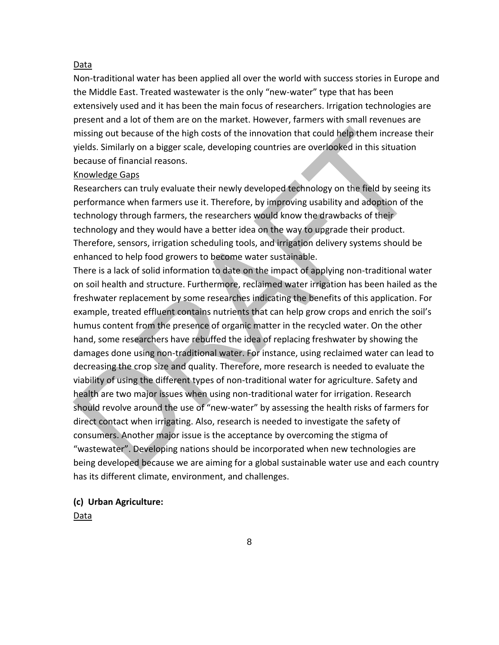#### Data

Non-traditional water has been applied all over the world with success stories in Europe and the Middle East. Treated wastewater is the only "new-water" type that has been extensively used and it has been the main focus of researchers. Irrigation technologies are present and a lot of them are on the market. However, farmers with small revenues are missing out because of the high costs of the innovation that could help them increase their yields. Similarly on a bigger scale, developing countries are overlooked in this situation because of financial reasons.

#### Knowledge Gaps

Researchers can truly evaluate their newly developed technology on the field by seeing its performance when farmers use it. Therefore, by improving usability and adoption of the technology through farmers, the researchers would know the drawbacks of their technology and they would have a better idea on the way to upgrade their product. Therefore, sensors, irrigation scheduling tools, and irrigation delivery systems should be enhanced to help food growers to become water sustainable.

There is a lack of solid information to date on the impact of applying non-traditional water on soil health and structure. Furthermore, reclaimed water irrigation has been hailed as the freshwater replacement by some researches indicating the benefits of this application. For example, treated effluent contains nutrients that can help grow crops and enrich the soil's humus content from the presence of organic matter in the recycled water. On the other hand, some researchers have rebuffed the idea of replacing freshwater by showing the damages done using non-traditional water. For instance, using reclaimed water can lead to decreasing the crop size and quality. Therefore, more research is needed to evaluate the viability of using the different types of non-traditional water for agriculture. Safety and health are two major issues when using non-traditional water for irrigation. Research should revolve around the use of "new-water" by assessing the health risks of farmers for direct contact when irrigating. Also, research is needed to investigate the safety of consumers. Another major issue is the acceptance by overcoming the stigma of "wastewater". Developing nations should be incorporated when new technologies are being developed because we are aiming for a global sustainable water use and each country has its different climate, environment, and challenges.

#### **(c) Urban Agriculture:**

Data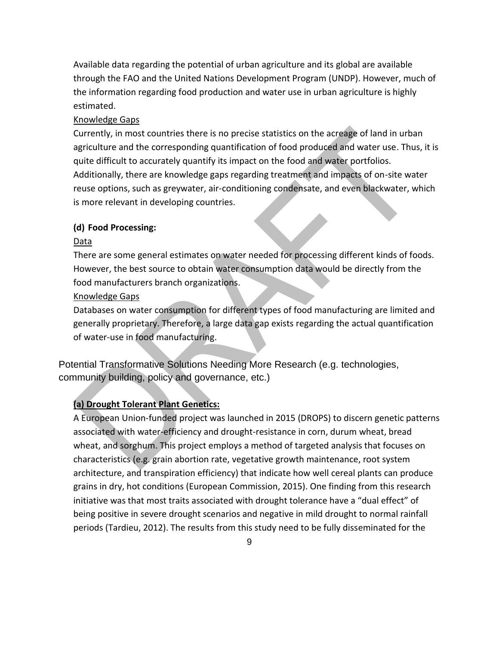Available data regarding the potential of urban agriculture and its global are available through the FAO and the United Nations Development Program (UNDP). However, much of the information regarding food production and water use in urban agriculture is highly estimated.

#### Knowledge Gaps

Currently, in most countries there is no precise statistics on the acreage of land in urban agriculture and the corresponding quantification of food produced and water use. Thus, it is quite difficult to accurately quantify its impact on the food and water portfolios. Additionally, there are knowledge gaps regarding treatment and impacts of on-site water reuse options, such as greywater, air-conditioning condensate, and even blackwater, which is more relevant in developing countries.

#### **(d) Food Processing:**

#### Data

There are some general estimates on water needed for processing different kinds of foods. However, the best source to obtain water consumption data would be directly from the food manufacturers branch organizations.

#### Knowledge Gaps

Databases on water consumption for different types of food manufacturing are limited and generally proprietary. Therefore, a large data gap exists regarding the actual quantification of water-use in food manufacturing.

Potential Transformative Solutions Needing More Research (e.g. technologies, community building, policy and governance, etc.)

#### **(a) Drought Tolerant Plant Genetics:**

A European Union-funded project was launched in 2015 (DROPS) to discern genetic patterns associated with water-efficiency and drought-resistance in corn, durum wheat, bread wheat, and sorghum. This project employs a method of targeted analysis that focuses on characteristics (e.g. grain abortion rate, vegetative growth maintenance, root system architecture, and transpiration efficiency) that indicate how well cereal plants can produce grains in dry, hot conditions (European Commission, 2015). One finding from this research initiative was that most traits associated with drought tolerance have a "dual effect" of being positive in severe drought scenarios and negative in mild drought to normal rainfall periods (Tardieu, 2012). The results from this study need to be fully disseminated for the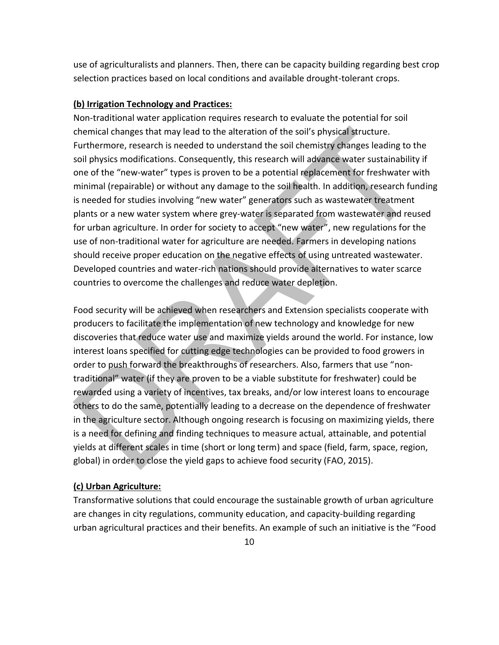use of agriculturalists and planners. Then, there can be capacity building regarding best crop selection practices based on local conditions and available drought-tolerant crops.

#### **(b) Irrigation Technology and Practices:**

Non-traditional water application requires research to evaluate the potential for soil chemical changes that may lead to the alteration of the soil's physical structure. Furthermore, research is needed to understand the soil chemistry changes leading to the soil physics modifications. Consequently, this research will advance water sustainability if one of the "new-water" types is proven to be a potential replacement for freshwater with minimal (repairable) or without any damage to the soil health. In addition, research funding is needed for studies involving "new water" generators such as wastewater treatment plants or a new water system where grey-water is separated from wastewater and reused for urban agriculture. In order for society to accept "new water", new regulations for the use of non-traditional water for agriculture are needed. Farmers in developing nations should receive proper education on the negative effects of using untreated wastewater. Developed countries and water-rich nations should provide alternatives to water scarce countries to overcome the challenges and reduce water depletion.

Food security will be achieved when researchers and Extension specialists cooperate with producers to facilitate the implementation of new technology and knowledge for new discoveries that reduce water use and maximize yields around the world. For instance, low interest loans specified for cutting edge technologies can be provided to food growers in order to push forward the breakthroughs of researchers. Also, farmers that use "nontraditional" water (if they are proven to be a viable substitute for freshwater) could be rewarded using a variety of incentives, tax breaks, and/or low interest loans to encourage others to do the same, potentially leading to a decrease on the dependence of freshwater in the agriculture sector. Although ongoing research is focusing on maximizing yields, there is a need for defining and finding techniques to measure actual, attainable, and potential yields at different scales in time (short or long term) and space (field, farm, space, region, global) in order to close the yield gaps to achieve food security (FAO, 2015).

# **(c) Urban Agriculture:**

Transformative solutions that could encourage the sustainable growth of urban agriculture are changes in city regulations, community education, and capacity-building regarding urban agricultural practices and their benefits. An example of such an initiative is the "Food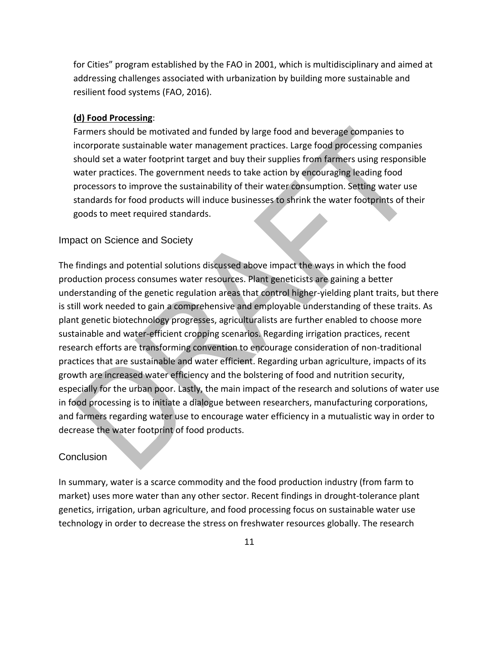for Cities" program established by the FAO in 2001, which is multidisciplinary and aimed at addressing challenges associated with urbanization by building more sustainable and resilient food systems (FAO, 2016).

#### **(d) Food Processing**:

Farmers should be motivated and funded by large food and beverage companies to incorporate sustainable water management practices. Large food processing companies should set a water footprint target and buy their supplies from farmers using responsible water practices. The government needs to take action by encouraging leading food processors to improve the sustainability of their water consumption. Setting water use standards for food products will induce businesses to shrink the water footprints of their goods to meet required standards.

#### Impact on Science and Society

The findings and potential solutions discussed above impact the ways in which the food production process consumes water resources. Plant geneticists are gaining a better understanding of the genetic regulation areas that control higher-yielding plant traits, but there is still work needed to gain a comprehensive and employable understanding of these traits. As plant genetic biotechnology progresses, agriculturalists are further enabled to choose more sustainable and water-efficient cropping scenarios. Regarding irrigation practices, recent research efforts are transforming convention to encourage consideration of non-traditional practices that are sustainable and water efficient. Regarding urban agriculture, impacts of its growth are increased water efficiency and the bolstering of food and nutrition security, especially for the urban poor. Lastly, the main impact of the research and solutions of water use in food processing is to initiate a dialogue between researchers, manufacturing corporations, and farmers regarding water use to encourage water efficiency in a mutualistic way in order to decrease the water footprint of food products.

#### **Conclusion**

In summary, water is a scarce commodity and the food production industry (from farm to market) uses more water than any other sector. Recent findings in drought-tolerance plant genetics, irrigation, urban agriculture, and food processing focus on sustainable water use technology in order to decrease the stress on freshwater resources globally. The research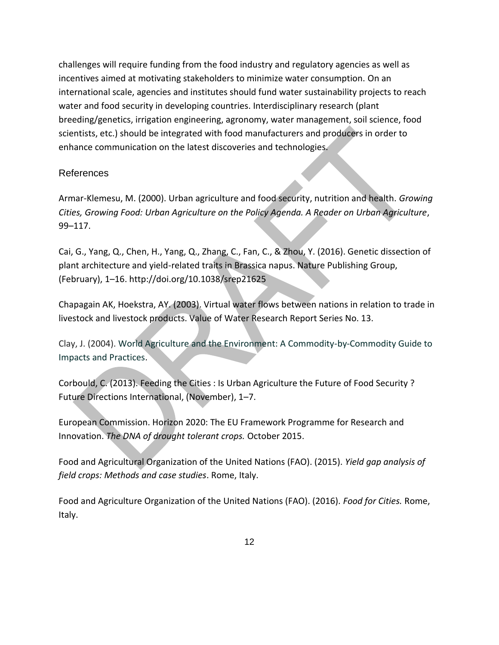challenges will require funding from the food industry and regulatory agencies as well as incentives aimed at motivating stakeholders to minimize water consumption. On an international scale, agencies and institutes should fund water sustainability projects to reach water and food security in developing countries. Interdisciplinary research (plant breeding/genetics, irrigation engineering, agronomy, water management, soil science, food scientists, etc.) should be integrated with food manufacturers and producers in order to enhance communication on the latest discoveries and technologies.

#### References

Armar-Klemesu, M. (2000). Urban agriculture and food security, nutrition and health. *Growing Cities, Growing Food: Urban Agriculture on the Policy Agenda. A Reader on Urban Agriculture*, 99–117.

Cai, G., Yang, Q., Chen, H., Yang, Q., Zhang, C., Fan, C., & Zhou, Y. (2016). Genetic dissection of plant architecture and yield-related traits in Brassica napus. Nature Publishing Group, (February), 1–16. http://doi.org/10.1038/srep21625

Chapagain AK, Hoekstra, AY. (2003). Virtual water flows between nations in relation to trade in livestock and livestock products. Value of Water Research Report Series No. 13.

Clay, J. (2004). [World Agriculture and the Environment: A Commodity-by-Commodity Guide to](http://www.islandpress.org/bookstore/details.php?sku=1-55963-370-0)  [Impacts and Practices.](http://www.islandpress.org/bookstore/details.php?sku=1-55963-370-0)

Corbould, C. (2013). Feeding the Cities : Is Urban Agriculture the Future of Food Security ? Future Directions International, (November), 1–7.

European Commission. Horizon 2020: The EU Framework Programme for Research and Innovation. *The DNA of drought tolerant crops.* October 2015.

Food and Agricultural Organization of the United Nations (FAO). (2015). *Yield gap analysis of field crops: Methods and case studies*. Rome, Italy.

Food and Agriculture Organization of the United Nations (FAO). (2016). *Food for Cities.* Rome, Italy.